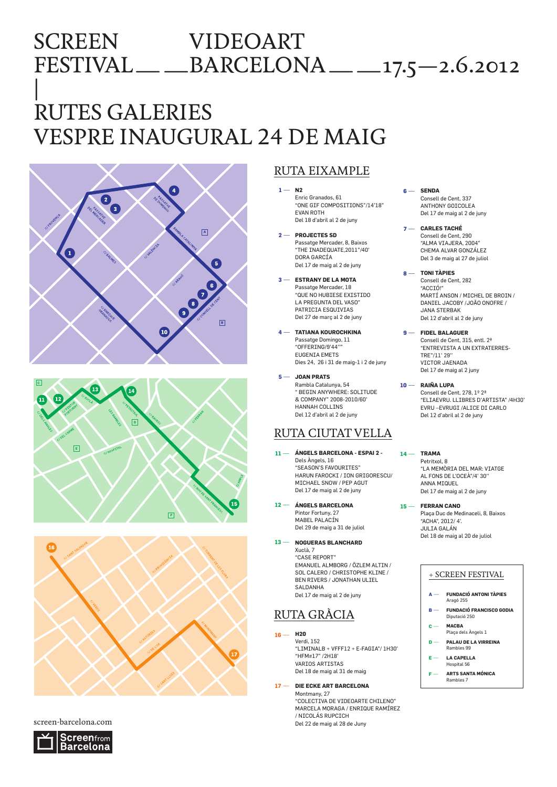## SCREEN VIDEOART FESTIVAL――BARCELONA――17.5—2.6.2012 |

# RUTES GALERIES VESPRE INAUGURAL 24 DE MAIG







### screen-barcelona.com



## RUTA EIXAMPLE

- **N2 1** ― Enric Granados, 61 "ONE GIF COMPOSITIONS"/14'18" EVAN ROTH Del 18 d'abril al 2 de juny
- **PROJECTES SD 2** ― Passatge Mercader, 8, Baixos "THE INADEQUATE,2011"/40' DORA GARCÍA Del 17 de maig al 2 de juny
- **ESTRANY DE LA MOTA 3** ― Passatge Mercader, 18 "QUE NO HUBIESE EXISTIDO LA PREGUNTA DEL VASO" PATRICIA ESQUIVIAS Del 27 de març al 2 de juny
- **TATIANA KOUROCHKINA 4** ― Passatge Domingo, 11 . assage Boming<br>"OFFERING/9'44 EUGENIA EMETS Dies 24, 26 i 31 de maig-1 i 2 de juny
- **JOAN PRATS 5** ― Rambla Catalunya, 54 " BEGIN ANYWHERE: SOLITUDE & COMPANY" 2008-2010/60' HANNAH COLLINS Del 12 d'abril al 2 de juny

## RUTA CIUTAT VELLA

- **ÁNGELS BARCELONA ESPAI 2 - 11** ― Dels Àngels, 16 "SEASON'S FAVOURITES" HARUN FAROCKI / ION GRIGORESCU/ MICHAEL SNOW / PEP AGUT Del 17 de maig al 2 de juny
- **ÁNGELS BARCELONA 12** ― Pintor Fortuny, 27 MABEL PALACÍN Del 29 de maig a 31 de juliol
- 13  **NOGUERAS BLANCHARD** Xuclà, 7 "CASE REPORT" EMANUEL ALMBORG / ÖZLEM ALTIN / SOL CALERO / CHRISTOPHE KLINE / BEN RIVERS / JONATHAN ULIEL SALDANHA Del 17 de maig al 2 de juny

## RUTA GRÀCIA

- **H20**  $16 -$ 
	- Verdi, 152 "LIMINALB + VFFF12 + E-FAGIA"/ 1H30' "HFM#17" /2H18' VARIOS ARTISTAS Del 18 de maig al 31 de maig
- 17 DIE ECKE ART BARCELONA Montmany, 27 "COLECTIVA DE VIDEOARTE CHILENO" MARCELA MORAGA / ENRIQUE RAMÍREZ

/ NICOLÁS RUPCICH Del 22 de maig al 28 de Juny

- **6** ― **SENDA** Consell de Cent, 337 ANTHONY GOTCOLEA Del 17 de maig al 2 de juny
- **7** ― **CARLES TACHÉ** Consell de Cent, 290 "ALMA VIAJERA, 2004" CHEMA ALVAR GONZÁLEZ Del 3 de maig al 27 de juliol
- **8** ― **TONI TÀPIES** Consell de Cent, 282 "ACCIÓ!" MARTÍ ANSON / MICHEL DE BROIN / DANIEL JACOBY /JOÃO ONOFRE / JANA STERBAK Del 12 d'abril al 2 de juny
- **9** ― **FIDEL BALAGUER** Consell de Cent, 315, entl. 2ª "ENTREVISTA A UN EXTRATERRES-TRE"/11' 29'' VICTOR JAENADA Del 17 de maig al 2 juny

#### **10** ― **RAIÑA LUPA**

Consell de Cent, 278, 1º 2ª "ELIAEVRU. LUIBRES D'ARTISTA" /4H30' EVRU –EVRUGI /ALICE DI CARLO Del 12 d'abril al 2 de juny

**14** ― **TRAMA**

Petritxol, 8 "LA MEMÒRIA DEL MAR: VIATGE AL FONS DE L'OCEÀ"/4' 30'' ANNA MIQUEL Del 17 de maig al 2 de juny

**15** ― **FERRAN CANO** Plaça Duc de Medinaceli, 8, Baixos "ACHA", 2012/ 4'. JULIA GALÁN Del 18 de maig al 20 de juliol

### + SCREEN FESTIVAL

- **FUNDACIÓ ANTONI TÀPIES** Aragó 255 **A** ―
- **FUNDACIÓ FRANCISCO GODIA** Diputació 250 **B** ―
- **MACBA** Plaça dels Àngels 1 **C** ―
- **PALAU DE LA VIRREINA** Rambles 99 **D** ―
- **LA CAPELLA E** ―
- Hospital 56
- **ARTS SANTA MÓNICA** Rambles 7 **F** ―